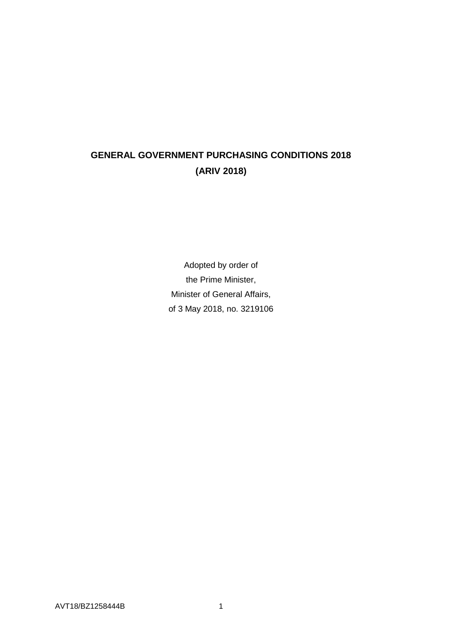# **GENERAL GOVERNMENT PURCHASING CONDITIONS 2018 (ARIV 2018)**

Adopted by order of the Prime Minister, Minister of General Affairs, of 3 May 2018, no. 3219106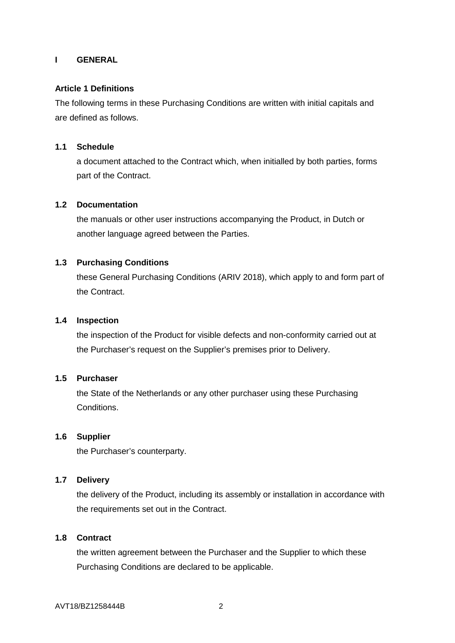# **I GENERAL**

## **Article 1 Definitions**

The following terms in these Purchasing Conditions are written with initial capitals and are defined as follows.

## **1.1 Schedule**

a document attached to the Contract which, when initialled by both parties, forms part of the Contract.

### **1.2 Documentation**

the manuals or other user instructions accompanying the Product, in Dutch or another language agreed between the Parties.

## **1.3 Purchasing Conditions**

these General Purchasing Conditions (ARIV 2018), which apply to and form part of the Contract.

### **1.4 Inspection**

the inspection of the Product for visible defects and non-conformity carried out at the Purchaser's request on the Supplier's premises prior to Delivery.

#### **1.5 Purchaser**

the State of the Netherlands or any other purchaser using these Purchasing Conditions.

#### **1.6 Supplier**

the Purchaser's counterparty.

### **1.7 Delivery**

the delivery of the Product, including its assembly or installation in accordance with the requirements set out in the Contract.

#### **1.8 Contract**

the written agreement between the Purchaser and the Supplier to which these Purchasing Conditions are declared to be applicable.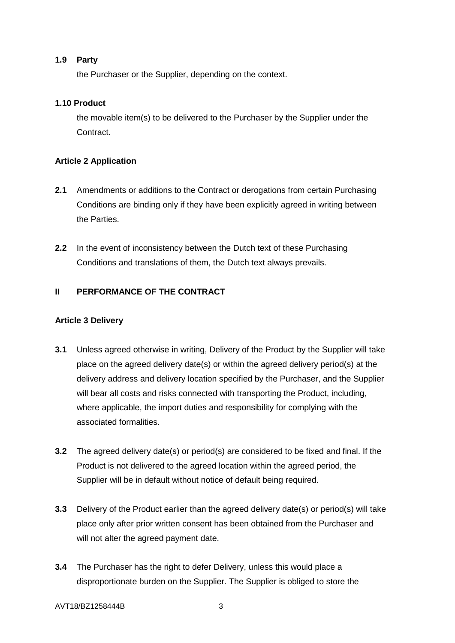# **1.9 Party**

the Purchaser or the Supplier, depending on the context.

# **1.10 Product**

the movable item(s) to be delivered to the Purchaser by the Supplier under the Contract.

# **Article 2 Application**

- **2.1** Amendments or additions to the Contract or derogations from certain Purchasing Conditions are binding only if they have been explicitly agreed in writing between the Parties.
- **2.2** In the event of inconsistency between the Dutch text of these Purchasing Conditions and translations of them, the Dutch text always prevails.

# **II PERFORMANCE OF THE CONTRACT**

## **Article 3 Delivery**

- **3.1** Unless agreed otherwise in writing, Delivery of the Product by the Supplier will take place on the agreed delivery date(s) or within the agreed delivery period(s) at the delivery address and delivery location specified by the Purchaser, and the Supplier will bear all costs and risks connected with transporting the Product, including, where applicable, the import duties and responsibility for complying with the associated formalities.
- **3.2** The agreed delivery date(s) or period(s) are considered to be fixed and final. If the Product is not delivered to the agreed location within the agreed period, the Supplier will be in default without notice of default being required.
- **3.3** Delivery of the Product earlier than the agreed delivery date(s) or period(s) will take place only after prior written consent has been obtained from the Purchaser and will not alter the agreed payment date.
- **3.4** The Purchaser has the right to defer Delivery, unless this would place a disproportionate burden on the Supplier. The Supplier is obliged to store the

#### AVT18/BZ1258444B 3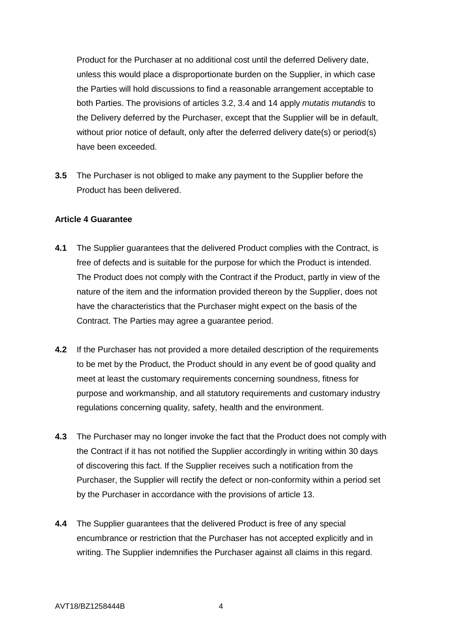Product for the Purchaser at no additional cost until the deferred Delivery date, unless this would place a disproportionate burden on the Supplier, in which case the Parties will hold discussions to find a reasonable arrangement acceptable to both Parties. The provisions of articles 3.2, 3.4 and 14 apply *mutatis mutandis* to the Delivery deferred by the Purchaser, except that the Supplier will be in default, without prior notice of default, only after the deferred delivery date(s) or period(s) have been exceeded.

**3.5** The Purchaser is not obliged to make any payment to the Supplier before the Product has been delivered.

### **Article 4 Guarantee**

- **4.1** The Supplier guarantees that the delivered Product complies with the Contract, is free of defects and is suitable for the purpose for which the Product is intended. The Product does not comply with the Contract if the Product, partly in view of the nature of the item and the information provided thereon by the Supplier, does not have the characteristics that the Purchaser might expect on the basis of the Contract. The Parties may agree a guarantee period.
- **4.2** If the Purchaser has not provided a more detailed description of the requirements to be met by the Product, the Product should in any event be of good quality and meet at least the customary requirements concerning soundness, fitness for purpose and workmanship, and all statutory requirements and customary industry regulations concerning quality, safety, health and the environment.
- **4.3** The Purchaser may no longer invoke the fact that the Product does not comply with the Contract if it has not notified the Supplier accordingly in writing within 30 days of discovering this fact. If the Supplier receives such a notification from the Purchaser, the Supplier will rectify the defect or non-conformity within a period set by the Purchaser in accordance with the provisions of article 13.
- **4.4** The Supplier guarantees that the delivered Product is free of any special encumbrance or restriction that the Purchaser has not accepted explicitly and in writing. The Supplier indemnifies the Purchaser against all claims in this regard.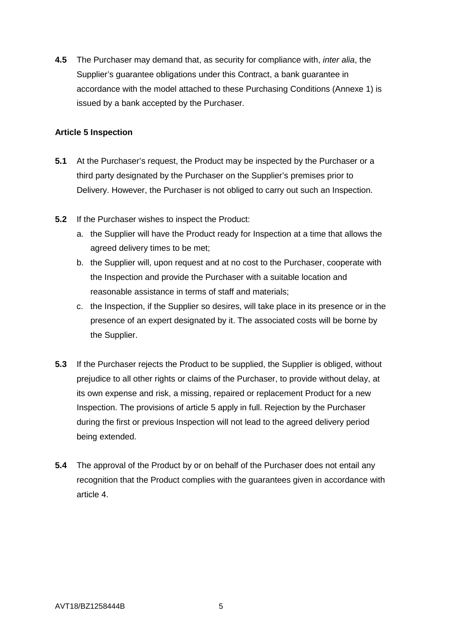**4.5** The Purchaser may demand that, as security for compliance with, *inter alia*, the Supplier's guarantee obligations under this Contract, a bank guarantee in accordance with the model attached to these Purchasing Conditions (Annexe 1) is issued by a bank accepted by the Purchaser.

# **Article 5 Inspection**

- **5.1** At the Purchaser's request, the Product may be inspected by the Purchaser or a third party designated by the Purchaser on the Supplier's premises prior to Delivery. However, the Purchaser is not obliged to carry out such an Inspection.
- **5.2** If the Purchaser wishes to inspect the Product:
	- a. the Supplier will have the Product ready for Inspection at a time that allows the agreed delivery times to be met;
	- b. the Supplier will, upon request and at no cost to the Purchaser, cooperate with the Inspection and provide the Purchaser with a suitable location and reasonable assistance in terms of staff and materials;
	- c. the Inspection, if the Supplier so desires, will take place in its presence or in the presence of an expert designated by it. The associated costs will be borne by the Supplier.
- **5.3** If the Purchaser rejects the Product to be supplied, the Supplier is obliged, without prejudice to all other rights or claims of the Purchaser, to provide without delay, at its own expense and risk, a missing, repaired or replacement Product for a new Inspection. The provisions of article 5 apply in full. Rejection by the Purchaser during the first or previous Inspection will not lead to the agreed delivery period being extended.
- **5.4** The approval of the Product by or on behalf of the Purchaser does not entail any recognition that the Product complies with the guarantees given in accordance with article 4.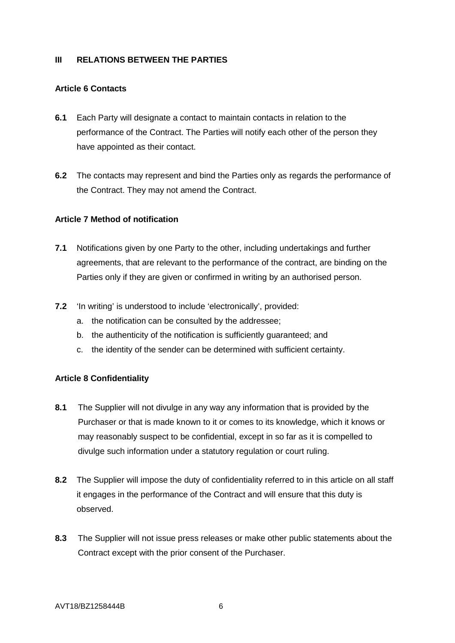## **III RELATIONS BETWEEN THE PARTIES**

## **Article 6 Contacts**

- **6.1** Each Party will designate a contact to maintain contacts in relation to the performance of the Contract. The Parties will notify each other of the person they have appointed as their contact.
- **6.2** The contacts may represent and bind the Parties only as regards the performance of the Contract. They may not amend the Contract.

## **Article 7 Method of notification**

- **7.1** Notifications given by one Party to the other, including undertakings and further agreements, that are relevant to the performance of the contract, are binding on the Parties only if they are given or confirmed in writing by an authorised person.
- **7.2** 'In writing' is understood to include 'electronically', provided:
	- a. the notification can be consulted by the addressee;
	- b. the authenticity of the notification is sufficiently guaranteed; and
	- c. the identity of the sender can be determined with sufficient certainty.

# **Article 8 Confidentiality**

- **8.1** The Supplier will not divulge in any way any information that is provided by the Purchaser or that is made known to it or comes to its knowledge, which it knows or may reasonably suspect to be confidential, except in so far as it is compelled to divulge such information under a statutory regulation or court ruling.
- **8.2** The Supplier will impose the duty of confidentiality referred to in this article on all staff it engages in the performance of the Contract and will ensure that this duty is observed.
- **8.3** The Supplier will not issue press releases or make other public statements about the Contract except with the prior consent of the Purchaser.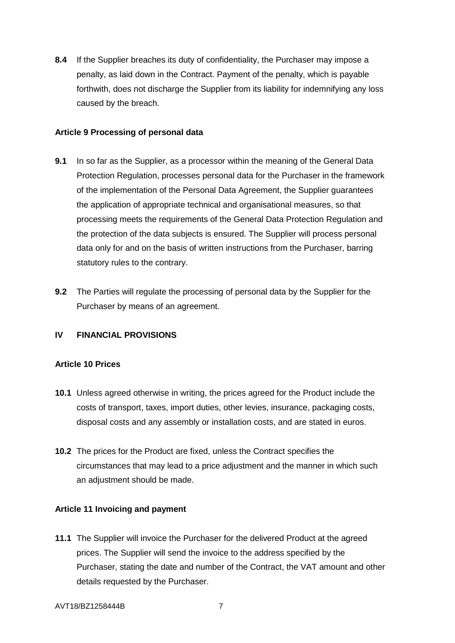**8.4** If the Supplier breaches its duty of confidentiality, the Purchaser may impose a penalty, as laid down in the Contract. Payment of the penalty, which is payable forthwith, does not discharge the Supplier from its liability for indemnifying any loss caused by the breach.

## **Article 9 Processing of personal data**

- **9.1** In so far as the Supplier, as a processor within the meaning of the General Data Protection Regulation, processes personal data for the Purchaser in the framework of the implementation of the Personal Data Agreement, the Supplier guarantees the application of appropriate technical and organisational measures, so that processing meets the requirements of the General Data Protection Regulation and the protection of the data subjects is ensured. The Supplier will process personal data only for and on the basis of written instructions from the Purchaser, barring statutory rules to the contrary.
- **9.2** The Parties will regulate the processing of personal data by the Supplier for the Purchaser by means of an agreement.

## **IV FINANCIAL PROVISIONS**

## **Article 10 Prices**

- **10.1** Unless agreed otherwise in writing, the prices agreed for the Product include the costs of transport, taxes, import duties, other levies, insurance, packaging costs, disposal costs and any assembly or installation costs, and are stated in euros.
- **10.2** The prices for the Product are fixed, unless the Contract specifies the circumstances that may lead to a price adjustment and the manner in which such an adjustment should be made.

#### **Article 11 Invoicing and payment**

**11.1** The Supplier will invoice the Purchaser for the delivered Product at the agreed prices. The Supplier will send the invoice to the address specified by the Purchaser, stating the date and number of the Contract, the VAT amount and other details requested by the Purchaser.

#### AVT18/BZ1258444B 7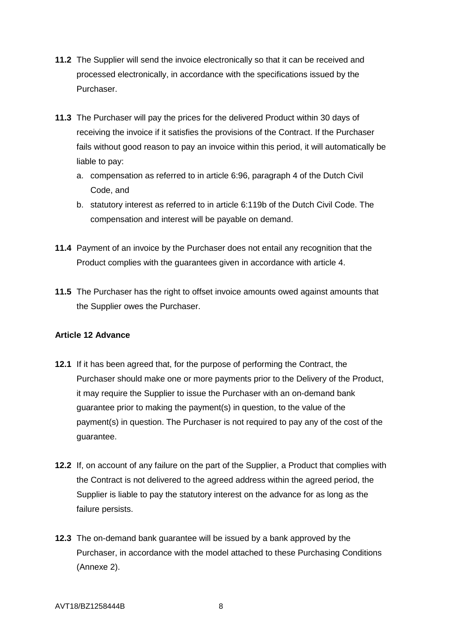- **11.2** The Supplier will send the invoice electronically so that it can be received and processed electronically, in accordance with the specifications issued by the Purchaser.
- **11.3** The Purchaser will pay the prices for the delivered Product within 30 days of receiving the invoice if it satisfies the provisions of the Contract. If the Purchaser fails without good reason to pay an invoice within this period, it will automatically be liable to pay:
	- a. compensation as referred to in article 6:96, paragraph 4 of the Dutch Civil Code, and
	- b. statutory interest as referred to in article 6:119b of the Dutch Civil Code. The compensation and interest will be payable on demand.
- **11.4** Payment of an invoice by the Purchaser does not entail any recognition that the Product complies with the guarantees given in accordance with article 4.
- **11.5** The Purchaser has the right to offset invoice amounts owed against amounts that the Supplier owes the Purchaser.

# **Article 12 Advance**

- **12.1** If it has been agreed that, for the purpose of performing the Contract, the Purchaser should make one or more payments prior to the Delivery of the Product, it may require the Supplier to issue the Purchaser with an on-demand bank guarantee prior to making the payment(s) in question, to the value of the payment(s) in question. The Purchaser is not required to pay any of the cost of the guarantee.
- **12.2** If, on account of any failure on the part of the Supplier, a Product that complies with the Contract is not delivered to the agreed address within the agreed period, the Supplier is liable to pay the statutory interest on the advance for as long as the failure persists.
- **12.3** The on-demand bank guarantee will be issued by a bank approved by the Purchaser, in accordance with the model attached to these Purchasing Conditions (Annexe 2).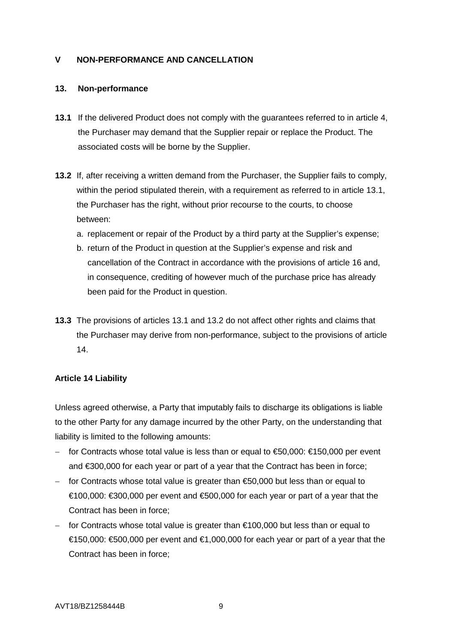# **V NON-PERFORMANCE AND CANCELLATION**

## **13. Non-performance**

- **13.1** If the delivered Product does not comply with the guarantees referred to in article 4, the Purchaser may demand that the Supplier repair or replace the Product. The associated costs will be borne by the Supplier.
- **13.2** If, after receiving a written demand from the Purchaser, the Supplier fails to comply, within the period stipulated therein, with a requirement as referred to in article 13.1. the Purchaser has the right, without prior recourse to the courts, to choose between:
	- a. replacement or repair of the Product by a third party at the Supplier's expense;
	- b. return of the Product in question at the Supplier's expense and risk and cancellation of the Contract in accordance with the provisions of article 16 and, in consequence, crediting of however much of the purchase price has already been paid for the Product in question.
- **13.3** The provisions of articles 13.1 and 13.2 do not affect other rights and claims that the Purchaser may derive from non-performance, subject to the provisions of article 14.

## **Article 14 Liability**

Unless agreed otherwise, a Party that imputably fails to discharge its obligations is liable to the other Party for any damage incurred by the other Party, on the understanding that liability is limited to the following amounts:

- − for Contracts whose total value is less than or equal to €50,000: €150,000 per event and €300,000 for each year or part of a year that the Contract has been in force;
- − for Contracts whose total value is greater than €50,000 but less than or equal to €100,000: €300,000 per event and €500,000 for each year or part of a year that the Contract has been in force;
- − for Contracts whose total value is greater than €100,000 but less than or equal to €150,000: €500,000 per event and €1,000,000 for each year or part of a year that the Contract has been in force;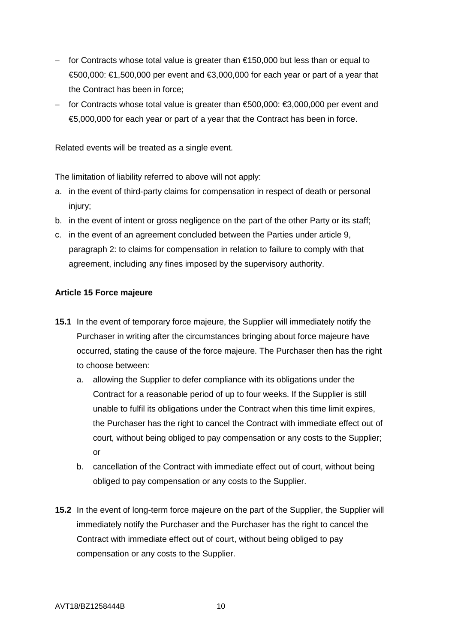- − for Contracts whose total value is greater than €150,000 but less than or equal to  $€500,000$ : €1,500,000 per event and €3,000,000 for each year or part of a year that the Contract has been in force;
- − for Contracts whose total value is greater than €500,000: €3,000,000 per event and €5,000,000 for each year or part of a year that the Contract has been in force.

Related events will be treated as a single event.

The limitation of liability referred to above will not apply:

- a. in the event of third-party claims for compensation in respect of death or personal injury;
- b. in the event of intent or gross negligence on the part of the other Party or its staff;
- c. in the event of an agreement concluded between the Parties under article 9, paragraph 2: to claims for compensation in relation to failure to comply with that agreement, including any fines imposed by the supervisory authority.

# **Article 15 Force majeure**

- **15.1** In the event of temporary force majeure, the Supplier will immediately notify the Purchaser in writing after the circumstances bringing about force majeure have occurred, stating the cause of the force majeure. The Purchaser then has the right to choose between:
	- a. allowing the Supplier to defer compliance with its obligations under the Contract for a reasonable period of up to four weeks. If the Supplier is still unable to fulfil its obligations under the Contract when this time limit expires, the Purchaser has the right to cancel the Contract with immediate effect out of court, without being obliged to pay compensation or any costs to the Supplier; or
	- b. cancellation of the Contract with immediate effect out of court, without being obliged to pay compensation or any costs to the Supplier.
- **15.2** In the event of long-term force majeure on the part of the Supplier, the Supplier will immediately notify the Purchaser and the Purchaser has the right to cancel the Contract with immediate effect out of court, without being obliged to pay compensation or any costs to the Supplier.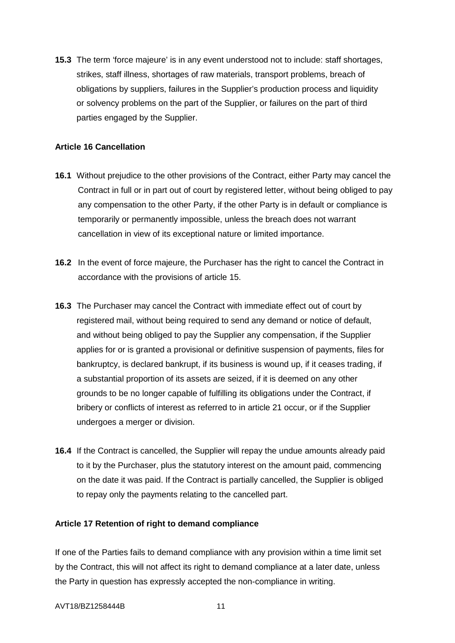**15.3** The term 'force majeure' is in any event understood not to include: staff shortages, strikes, staff illness, shortages of raw materials, transport problems, breach of obligations by suppliers, failures in the Supplier's production process and liquidity or solvency problems on the part of the Supplier, or failures on the part of third parties engaged by the Supplier.

# **Article 16 Cancellation**

- **16.1** Without prejudice to the other provisions of the Contract, either Party may cancel the Contract in full or in part out of court by registered letter, without being obliged to pay any compensation to the other Party, if the other Party is in default or compliance is temporarily or permanently impossible, unless the breach does not warrant cancellation in view of its exceptional nature or limited importance.
- **16.2** In the event of force majeure, the Purchaser has the right to cancel the Contract in accordance with the provisions of article 15.
- **16.3** The Purchaser may cancel the Contract with immediate effect out of court by registered mail, without being required to send any demand or notice of default, and without being obliged to pay the Supplier any compensation, if the Supplier applies for or is granted a provisional or definitive suspension of payments, files for bankruptcy, is declared bankrupt, if its business is wound up, if it ceases trading, if a substantial proportion of its assets are seized, if it is deemed on any other grounds to be no longer capable of fulfilling its obligations under the Contract, if bribery or conflicts of interest as referred to in article 21 occur, or if the Supplier undergoes a merger or division.
- **16.4** If the Contract is cancelled, the Supplier will repay the undue amounts already paid to it by the Purchaser, plus the statutory interest on the amount paid, commencing on the date it was paid. If the Contract is partially cancelled, the Supplier is obliged to repay only the payments relating to the cancelled part.

#### **Article 17 Retention of right to demand compliance**

If one of the Parties fails to demand compliance with any provision within a time limit set by the Contract, this will not affect its right to demand compliance at a later date, unless the Party in question has expressly accepted the non-compliance in writing.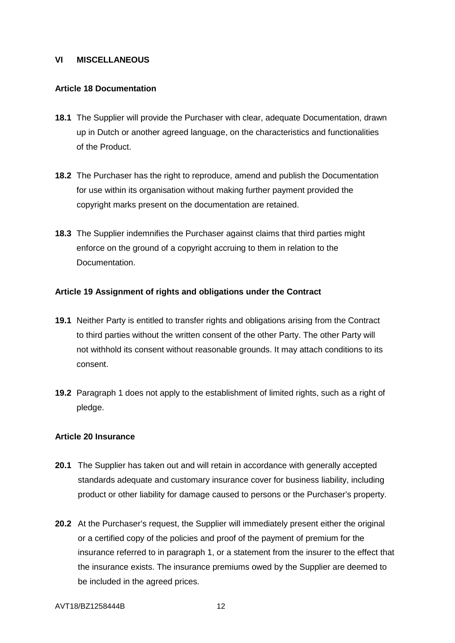## **VI MISCELLANEOUS**

## **Article 18 Documentation**

- **18.1** The Supplier will provide the Purchaser with clear, adequate Documentation, drawn up in Dutch or another agreed language, on the characteristics and functionalities of the Product.
- **18.2** The Purchaser has the right to reproduce, amend and publish the Documentation for use within its organisation without making further payment provided the copyright marks present on the documentation are retained.
- **18.3** The Supplier indemnifies the Purchaser against claims that third parties might enforce on the ground of a copyright accruing to them in relation to the Documentation.

### **Article 19 Assignment of rights and obligations under the Contract**

- **19.1** Neither Party is entitled to transfer rights and obligations arising from the Contract to third parties without the written consent of the other Party. The other Party will not withhold its consent without reasonable grounds. It may attach conditions to its consent.
- **19.2** Paragraph 1 does not apply to the establishment of limited rights, such as a right of pledge.

#### **Article 20 Insurance**

- **20.1** The Supplier has taken out and will retain in accordance with generally accepted standards adequate and customary insurance cover for business liability, including product or other liability for damage caused to persons or the Purchaser's property.
- **20.2** At the Purchaser's request, the Supplier will immediately present either the original or a certified copy of the policies and proof of the payment of premium for the insurance referred to in paragraph 1, or a statement from the insurer to the effect that the insurance exists. The insurance premiums owed by the Supplier are deemed to be included in the agreed prices.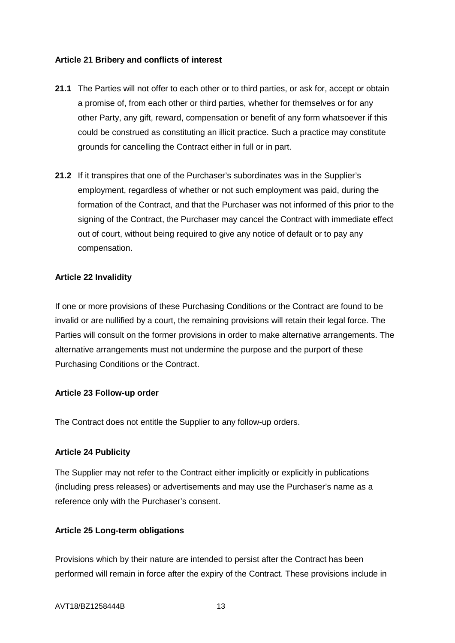## **Article 21 Bribery and conflicts of interest**

- **21.1** The Parties will not offer to each other or to third parties, or ask for, accept or obtain a promise of, from each other or third parties, whether for themselves or for any other Party, any gift, reward, compensation or benefit of any form whatsoever if this could be construed as constituting an illicit practice. Such a practice may constitute grounds for cancelling the Contract either in full or in part.
- **21.2** If it transpires that one of the Purchaser's subordinates was in the Supplier's employment, regardless of whether or not such employment was paid, during the formation of the Contract, and that the Purchaser was not informed of this prior to the signing of the Contract, the Purchaser may cancel the Contract with immediate effect out of court, without being required to give any notice of default or to pay any compensation.

## **Article 22 Invalidity**

If one or more provisions of these Purchasing Conditions or the Contract are found to be invalid or are nullified by a court, the remaining provisions will retain their legal force. The Parties will consult on the former provisions in order to make alternative arrangements. The alternative arrangements must not undermine the purpose and the purport of these Purchasing Conditions or the Contract.

## **Article 23 Follow-up order**

The Contract does not entitle the Supplier to any follow-up orders.

# **Article 24 Publicity**

The Supplier may not refer to the Contract either implicitly or explicitly in publications (including press releases) or advertisements and may use the Purchaser's name as a reference only with the Purchaser's consent.

# **Article 25 Long-term obligations**

Provisions which by their nature are intended to persist after the Contract has been performed will remain in force after the expiry of the Contract. These provisions include in